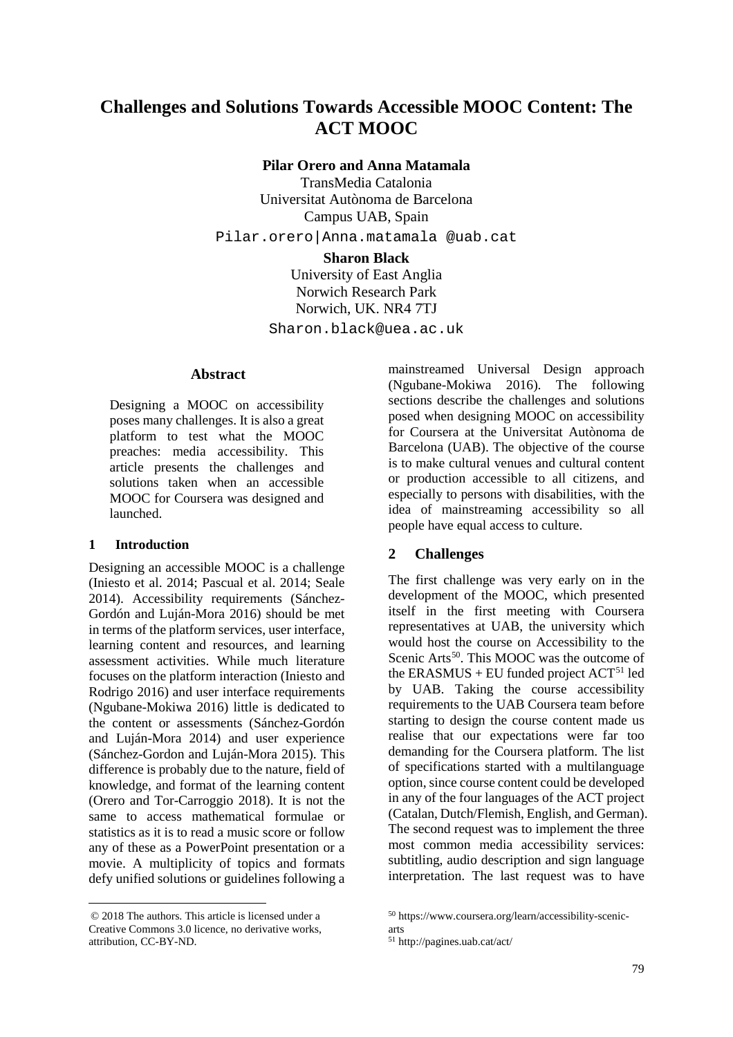# **Challenges and Solutions Towards Accessible MOOC Content: The ACT MOOC**

**Pilar Orero and Anna Matamala** 

TransMedia Catalonia Universitat Autònoma de Barcelona Campus UAB, Spain Pilar.orero|Anna.matamala @uab.cat

#### **Sharon Black**

University of East Anglia Norwich Research Park Norwich, UK. NR4 7TJ Sharon.black@uea.ac.uk

#### **[A](#page-0-0)bstract**

Designing a MOOC on accessibility poses many challenges. It is also a great platform to test what the MOOC preaches: media accessibility. This article presents the challenges and solutions taken when an accessible MOOC for Coursera was designed and launched.

### **1 Introduction**

Designing an accessible MOOC is a challenge (Iniesto et al. 2014; Pascual et al. 2014; Seale 2014). Accessibility requirements (Sánchez-Gordón and Luján-Mora 2016) should be met in terms of the platform services, user interface, learning content and resources, and learning assessment activities. While much literature focuses on the platform interaction (Iniesto and Rodrigo 2016) and user interface requirements (Ngubane-Mokiwa 2016) little is dedicated to the content or assessments (Sánchez-Gordón and Luján-Mora 2014) and user experience (Sánchez-Gordon and Luján-Mora 2015). This difference is probably due to the nature, field of knowledge, and format of the learning content (Orero and Tor-Carroggio 2018). It is not the same to access mathematical formulae or statistics as it is to read a music score or follow any of these as a PowerPoint presentation or a movie. A multiplicity of topics and formats defy unified solutions or guidelines following a

mainstreamed Universal Design approach (Ngubane-Mokiwa 2016). The following sections describe the challenges and solutions posed when designing MOOC on accessibility for Coursera at the Universitat Autònoma de Barcelona (UAB). The objective of the course is to make cultural venues and cultural content or production accessible to all citizens, and especially to persons with disabilities, with the idea of mainstreaming accessibility so all people have equal access to culture.

## **2 Challenges**

The first challenge was very early on in the development of the MOOC, which presented itself in the first meeting with Coursera representatives at UAB, the university which would host the course on Accessibility to the Scenic Arts<sup>50</sup>. This MOOC was the outcome of the ERASMUS + EU funded project  $ACT<sup>51</sup>$  $ACT<sup>51</sup>$  $ACT<sup>51</sup>$  led by UAB. Taking the course accessibility requirements to the UAB Coursera team before starting to design the course content made us realise that our expectations were far too demanding for the Coursera platform. The list of specifications started with a multilanguage option, since course content could be developed in any of the four languages of the ACT project (Catalan, Dutch/Flemish, English, and German). The second request was to implement the three most common media accessibility services: subtitling, audio description and sign language interpretation. The last request was to have

<span id="page-0-1"></span><span id="page-0-0"></span><sup>© 2018</sup> The authors. This article is licensed under a Creative Commons 3.0 licence, no derivative works, attribution, CC-BY-ND.

<sup>50</sup> https://www.coursera.org/learn/accessibility-scenicarts

<sup>51</sup> http://pagines.uab.cat/act/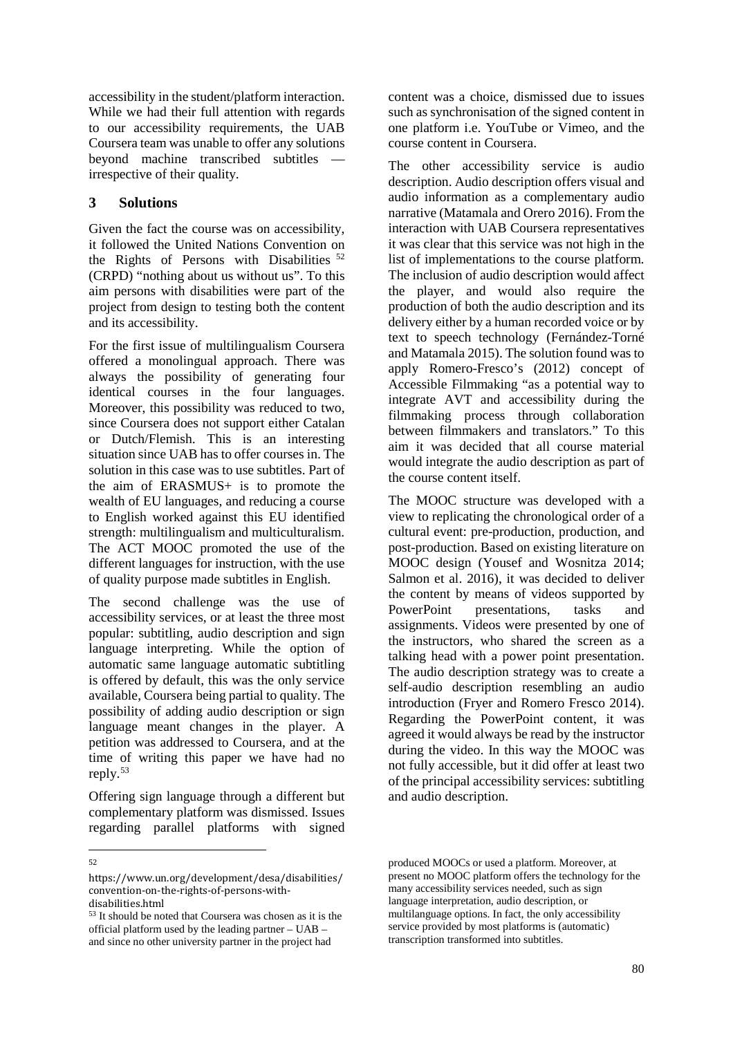accessibility in the student/platform interaction. While we had their full attention with regards to our accessibility requirements, the UAB Coursera team was unable to offer any solutions beyond machine transcribed subtitles irrespective of their quality.

## **3 Solutions**

Given the fact the course was on accessibility, it followed the United Nations Convention on the Rights of Persons with Disabilities <sup>[52](#page-1-0)</sup> (CRPD) "nothing about us without us". To this aim persons with disabilities were part of the project from design to testing both the content and its accessibility.

For the first issue of multilingualism Coursera offered a monolingual approach. There was always the possibility of generating four identical courses in the four languages. Moreover, this possibility was reduced to two, since Coursera does not support either Catalan or Dutch/Flemish. This is an interesting situation since UAB has to offer courses in. The solution in this case was to use subtitles. Part of the aim of ERASMUS+ is to promote the wealth of EU languages, and reducing a course to English worked against this EU identified strength: multilingualism and multiculturalism. The ACT MOOC promoted the use of the different languages for instruction, with the use of quality purpose made subtitles in English.

The second challenge was the use of accessibility services, or at least the three most popular: subtitling, audio description and sign language interpreting. While the option of automatic same language automatic subtitling is offered by default, this was the only service available, Coursera being partial to quality. The possibility of adding audio description or sign language meant changes in the player. A petition was addressed to Coursera, and at the time of writing this paper we have had no reply.[53](#page-1-1)

Offering sign language through a different but complementary platform was dismissed. Issues regarding parallel platforms with signed content was a choice, dismissed due to issues such as synchronisation of the signed content in one platform i.e. YouTube or Vimeo, and the course content in Coursera.

The other accessibility service is audio description. Audio description offers visual and audio information as a complementary audio narrative (Matamala and Orero 2016). From the interaction with UAB Coursera representatives it was clear that this service was not high in the list of implementations to the course platform. The inclusion of audio description would affect the player, and would also require the production of both the audio description and its delivery either by a human recorded voice or by text to speech technology (Fernández-Torné and Matamala 2015). The solution found was to apply Romero-Fresco's (2012) concept of Accessible Filmmaking "as a potential way to integrate AVT and accessibility during the filmmaking process through collaboration between filmmakers and translators." To this aim it was decided that all course material would integrate the audio description as part of the course content itself.

The MOOC structure was developed with a view to replicating the chronological order of a cultural event: pre-production, production, and post-production. Based on existing literature on MOOC design (Yousef and Wosnitza 2014; Salmon et al. 2016), it was decided to deliver the content by means of videos supported by<br>PowerPoint presentations, tasks and presentations, tasks and assignments. Videos were presented by one of the instructors, who shared the screen as a talking head with a power point presentation. The audio description strategy was to create a self-audio description resembling an audio introduction (Fryer and Romero Fresco 2014). Regarding the PowerPoint content, it was agreed it would always be read by the instructor during the video. In this way the MOOC was not fully accessible, but it did offer at least two of the principal accessibility services: subtitling and audio description.

<sup>—&</sup>lt;br>52

<span id="page-1-0"></span>https://www.un.org/development/desa/disabilities/ convention-on-the-rights-of-persons-withdisabilities.html

<span id="page-1-1"></span><sup>53</sup> It should be noted that Coursera was chosen as it is the official platform used by the leading partner – UAB – and since no other university partner in the project had

produced MOOCs or used a platform. Moreover, at present no MOOC platform offers the technology for the many accessibility services needed, such as sign language interpretation, audio description, or multilanguage options. In fact, the only accessibility service provided by most platforms is (automatic) transcription transformed into subtitles.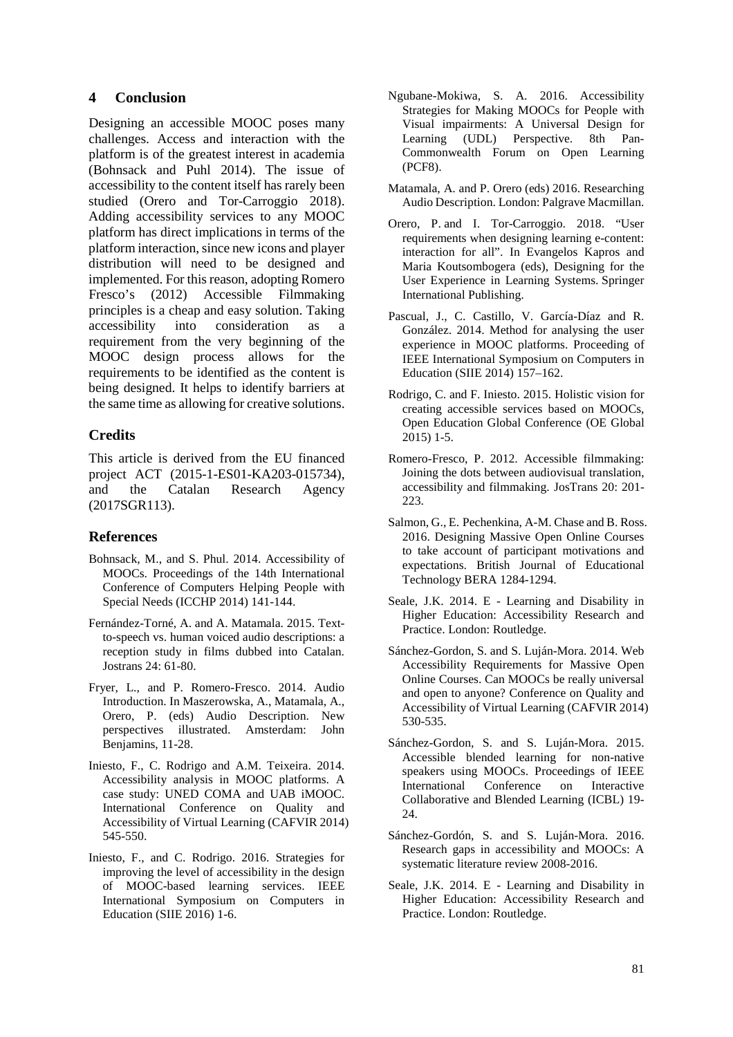## **4 Conclusion**

Designing an accessible MOOC poses many challenges. Access and interaction with the platform is of the greatest interest in academia (Bohnsack and Puhl 2014). The issue of accessibility to the content itself has rarely been studied (Orero and Tor-Carroggio 2018). Adding accessibility services to any MOOC platform has direct implications in terms of the platform interaction, since new icons and player distribution will need to be designed and implemented. For this reason, adopting Romero Fresco's (2012) Accessible Filmmaking principles is a cheap and easy solution. Taking accessibility into consideration as a requirement from the very beginning of the MOOC design process allows for the requirements to be identified as the content is being designed. It helps to identify barriers at the same time as allowing for creative solutions.

## **Credits**

This article is derived from the EU financed project ACT (2015-1-ES01-KA203-015734), and the Catalan Research Agency (2017SGR113).

### **References**

- Bohnsack, M., and S. Phul. 2014. Accessibility of MOOCs. Proceedings of the 14th International Conference of Computers Helping People with Special Needs (ICCHP 2014) 141-144.
- Fernández-Torné, A. and A. Matamala. 2015. Textto-speech vs. human voiced audio descriptions: a reception study in films dubbed into Catalan. Jostrans 24: 61-80.
- Fryer, L., and P. Romero-Fresco. 2014. Audio Introduction. In Maszerowska, A., Matamala, A., Orero, P. (eds) Audio Description. New perspectives illustrated. Amsterdam: John Benjamins, 11-28.
- Iniesto, F., C. Rodrigo and A.M. Teixeira. 2014. Accessibility analysis in MOOC platforms. A case study: UNED COMA and UAB iMOOC. International Conference on Quality and Accessibility of Virtual Learning (CAFVIR 2014) 545-550.
- Iniesto, F., and C. Rodrigo. 2016. Strategies for improving the level of accessibility in the design of MOOC-based learning services. IEEE International Symposium on Computers in Education (SIIE 2016) 1-6.
- Ngubane-Mokiwa, S. A. 2016. Accessibility Strategies for Making MOOCs for People with Visual impairments: A Universal Design for Learning (UDL) Perspective. 8th Pan-Commonwealth Forum on Open Learning (PCF8).
- Matamala, A. and P. Orero (eds) 2016. Researching Audio Description. London: Palgrave Macmillan.
- Orero, P. and I. Tor-Carroggio. 2018. "User requirements when designing learning e-content: interaction for all". In Evangelos Kapros and Maria Koutsombogera (eds), Designing for the User Experience in Learning Systems. Springer International Publishing.
- Pascual, J., C. Castillo, V. García-Díaz and R. González. 2014. Method for analysing the user experience in MOOC platforms. Proceeding of IEEE International Symposium on Computers in Education (SIIE 2014) 157–162.
- Rodrigo, C. and F. Iniesto. 2015. Holistic vision for creating accessible services based on MOOCs, Open Education Global Conference (OE Global 2015) 1-5.
- Romero-Fresco, P. 2012. Accessible filmmaking: Joining the dots between audiovisual translation, accessibility and filmmaking. JosTrans 20: 201- 223.
- [Salmon,](https://onlinelibrary.wiley.com/action/doSearch?ContribAuthorStored=Salmon%2C+Gilly) G., E. Pechenkina, A-M. Chase and B. Ross. 2016. Designing Massive Open Online Courses to take account of participant motivations and expectations. British Journal of Educational Technology BERA 1284-1294.
- Seale, J.K. 2014. E Learning and Disability in Higher Education: Accessibility Research and Practice. London: Routledge.
- Sánchez-Gordon, S. and S. Luján-Mora. 2014. Web Accessibility Requirements for Massive Open Online Courses. Can MOOCs be really universal and open to anyone? Conference on Quality and Accessibility of Virtual Learning (CAFVIR 2014) 530-535.
- Sánchez-Gordon, S. and S. Luján-Mora. 2015. Accessible blended learning for non-native speakers using MOOCs. Proceedings of IEEE International Conference on Interactive Collaborative and Blended Learning (ICBL) 19- 24.
- Sánchez-Gordón, S. and S. Luján-Mora. 2016. Research gaps in accessibility and MOOCs: A systematic literature review 2008-2016.
- Seale, J.K. 2014. E Learning and Disability in Higher Education: Accessibility Research and Practice. London: Routledge.